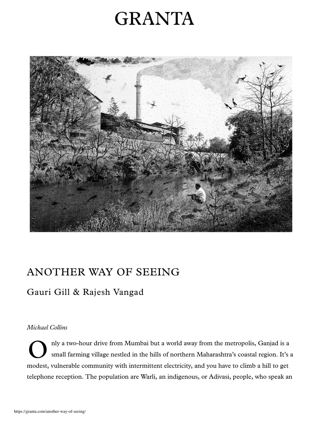# **GRANTA**



## ANOTHER WAY OF SEEING

### Gauri Gill & Rajesh Vangad

#### Michael Collins

O nly a two-hour drive from Mumbai but a world away from the metropolis, Ganjad is a small farming village nestled in the hills of northern Maharashtra's coastal region. It's a modest, vulnerable community with intermittent electricity, and you have to climb a hill to get telephone reception. The population are Warli, an indigenous, or Adivasi, people, who speak an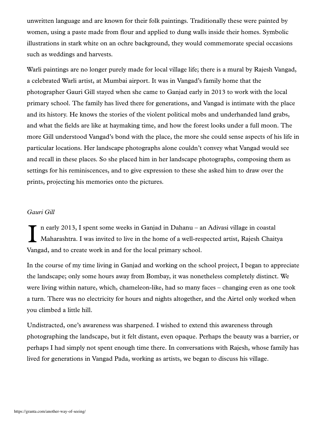unwritten language and are known for their folk paintings. Traditionally these were painted by women, using a paste made from flour and applied to dung walls inside their homes. Symbolic illustrations in stark white on an ochre background, they would commemorate special occasions such as weddings and harvests.

Warli paintings are no longer purely made for local village life; there is a mural by Rajesh Vangad, a celebrated Warli artist, at Mumbai airport. It was in Vangad's family home that the photographer Gauri Gill stayed when she came to Ganjad early in 2013 to work with the local primary school. The family has lived there for generations, and Vangad is intimate with the place and its history. He knows the stories of the violent political mobs and underhanded land grabs, and what the fields are like at haymaking time, and how the forest looks under a full moon. The more Gill understood Vangad's bond with the place, the more she could sense aspects of his life in particular locations. Her landscape photographs alone couldn't convey what Vangad would see and recall in these places. So she placed him in her landscape photographs, composing them as settings for his reminiscences, and to give expression to these she asked him to draw over the prints, projecting his memories onto the pictures.

#### Gauri Gill

I n early 2013, I spent some weeks in Ganjad in Dahanu – an Adivasi village in coastal Maharashtra. I was invited to live in the home of a well-respected artist, Rajesh Chaitya Vangad, and to create work in and for the local primary school.

In the course of my time living in Ganjad and working on the school project, I began to appreciate the landscape; only some hours away from Bombay, it was nonetheless completely distinct. We were living within nature, which, chameleon-like, had so many faces – changing even as one took a turn. There was no electricity for hours and nights altogether, and the Airtel only worked when you climbed a little hill.

Undistracted, one's awareness was sharpened. I wished to extend this awareness through photographing the landscape, but it felt distant, even opaque. Perhaps the beauty was a barrier, or perhaps I had simply not spent enough time there. In conversations with Rajesh, whose family has lived for generations in Vangad Pada, working as artists, we began to discuss his village.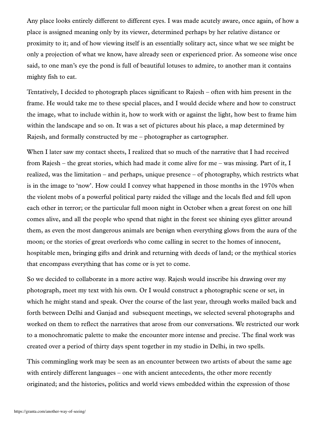Any place looks entirely different to different eyes. I was made acutely aware, once again, of how a place is assigned meaning only by its viewer, determined perhaps by her relative distance or proximity to it; and of how viewing itself is an essentially solitary act, since what we see might be only a projection of what we know, have already seen or experienced prior. As someone wise once said, to one man's eye the pond is full of beautiful lotuses to admire, to another man it contains mighty fish to eat.

Tentatively, I decided to photograph places significant to Rajesh – often with him present in the frame. He would take me to these special places, and I would decide where and how to construct the image, what to include within it, how to work with or against the light, how best to frame him within the landscape and so on. It was a set of pictures about his place, a map determined by Rajesh, and formally constructed by me – photographer as cartographer.

When I later saw my contact sheets, I realized that so much of the narrative that I had received from Rajesh – the great stories, which had made it come alive for me – was missing. Part of it, I realized, was the limitation – and perhaps, unique presence – of photography, which restricts what is in the image to 'now'. How could I convey what happened in those months in the 1970s when the violent mobs of a powerful political party raided the village and the locals fled and fell upon each other in terror; or the particular full moon night in October when a great forest on one hill comes alive, and all the people who spend that night in the forest see shining eyes glitter around them, as even the most dangerous animals are benign when everything glows from the aura of the moon; or the stories of great overlords who come calling in secret to the homes of innocent, hospitable men, bringing gifts and drink and returning with deeds of land; or the mythical stories that encompass everything that has come or is yet to come.

So we decided to collaborate in a more active way. Rajesh would inscribe his drawing over my photograph, meet my text with his own. Or I would construct a photographic scene or set, in which he might stand and speak. Over the course of the last year, through works mailed back and forth between Delhi and Ganjad and subsequent meetings, we selected several photographs and worked on them to reflect the narratives that arose from our conversations. We restricted our work to a monochromatic palette to make the encounter more intense and precise. The final work was created over a period of thirty days spent together in my studio in Delhi, in two spells.

This commingling work may be seen as an encounter between two artists of about the same age with entirely different languages – one with ancient antecedents, the other more recently originated; and the histories, politics and world views embedded within the expression of those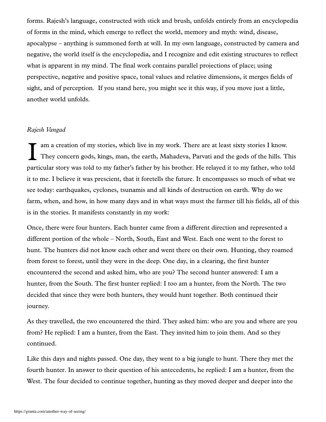forms. Rajesh's language, constructed with stick and brush, unfolds entirely from an encyclopedia of forms in the mind, which emerge to reflect the world, memory and myth: wind, disease, apocalypse – anything is summoned forth at will. In my own language, constructed by camera and negative, the world itself is the encyclopedia, and I recognize and edit existing structures to reflect what is apparent in my mind. The final work contains parallel projections of place; using perspective, negative and positive space, tonal values and relative dimensions, it merges fields of sight, and of perception. If you stand here, you might see it this way, if you move just a little, another world unfolds.

#### Rajesh Vangad

I am a creation of my stories, which live in my work. There are at least sixty stories I know. They concern gods, kings, man, the earth, Mahadeva, Parvati and the gods of the hills. This particular story was told to my father's father by his brother. He relayed it to my father, who told it to me. I believe it was prescient, that it foretells the future. It encompasses so much of what we see today: earthquakes, cyclones, tsunamis and all kinds of destruction on earth. Why do we farm, when, and how, in how many days and in what ways must the farmer till his fields, all of this is in the stories. It manifests constantly in my work:

Once, there were four hunters. Each hunter came from a different direction and represented a different portion of the whole – North, South, East and West. Each one went to the forest to hunt. The hunters did not know each other and went there on their own. Hunting, they roamed from forest to forest, until they were in the deep. One day, in a clearing, the first hunter encountered the second and asked him, who are you? The second hunter answered: I am a hunter, from the South. The first hunter replied: I too am a hunter, from the North. The two decided that since they were both hunters, they would hunt together. Both continued their journey.

As they travelled, the two encountered the third. They asked him: who are you and where are you from? He replied: I am a hunter, from the East. They invited him to join them. And so they continued.

Like this days and nights passed. One day, they went to a big jungle to hunt. There they met the fourth hunter. In answer to their question of his antecedents, he replied: I am a hunter, from the West. The four decided to continue together, hunting as they moved deeper and deeper into the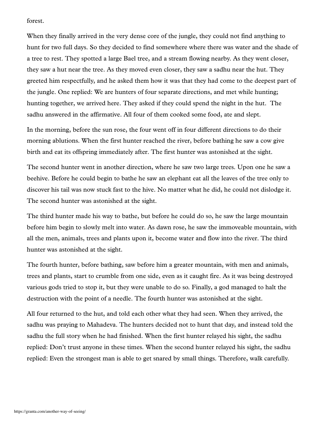forest.

When they finally arrived in the very dense core of the jungle, they could not find anything to hunt for two full days. So they decided to find somewhere where there was water and the shade of a tree to rest. They spotted a large Bael tree, and a stream flowing nearby. As they went closer, they saw a hut near the tree. As they moved even closer, they saw a sadhu near the hut. They greeted him respectfully, and he asked them how it was that they had come to the deepest part of the jungle. One replied: We are hunters of four separate directions, and met while hunting; hunting together, we arrived here. They asked if they could spend the night in the hut. The sadhu answered in the affirmative. All four of them cooked some food, ate and slept.

In the morning, before the sun rose, the four went off in four different directions to do their morning ablutions. When the first hunter reached the river, before bathing he saw a cow give birth and eat its offspring immediately after. The first hunter was astonished at the sight.

The second hunter went in another direction, where he saw two large trees. Upon one he saw a beehive. Before he could begin to bathe he saw an elephant eat all the leaves of the tree only to discover his tail was now stuck fast to the hive. No matter what he did, he could not dislodge it. The second hunter was astonished at the sight.

The third hunter made his way to bathe, but before he could do so, he saw the large mountain before him begin to slowly melt into water. As dawn rose, he saw the immoveable mountain, with all the men, animals, trees and plants upon it, become water and flow into the river. The third hunter was astonished at the sight.

The fourth hunter, before bathing, saw before him a greater mountain, with men and animals, trees and plants, start to crumble from one side, even as it caught fire. As it was being destroyed various gods tried to stop it, but they were unable to do so. Finally, a god managed to halt the destruction with the point of a needle. The fourth hunter was astonished at the sight.

All four returned to the hut, and told each other what they had seen. When they arrived, the sadhu was praying to Mahadeva. The hunters decided not to hunt that day, and instead told the sadhu the full story when he had finished. When the first hunter relayed his sight, the sadhu replied: Don't trust anyone in these times. When the second hunter relayed his sight, the sadhu replied: Even the strongest man is able to get snared by small things. Therefore, walk carefully.